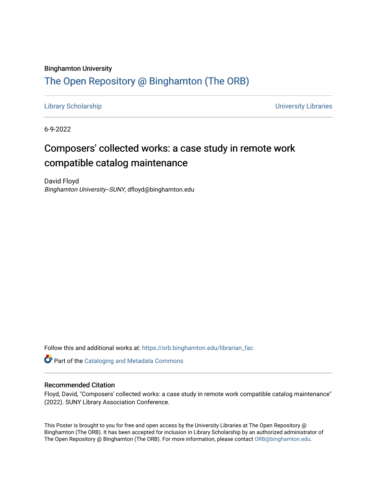#### Binghamton University

#### [The Open Repository @ Binghamton \(The ORB\)](https://orb.binghamton.edu/)

[Library Scholarship](https://orb.binghamton.edu/librarian_fac) [University Libraries](https://orb.binghamton.edu/libraries) 

6-9-2022

#### Composers' collected works: a case study in remote work compatible catalog maintenance

David Floyd Binghamton University--SUNY, dfloyd@binghamton.edu

Follow this and additional works at: [https://orb.binghamton.edu/librarian\\_fac](https://orb.binghamton.edu/librarian_fac?utm_source=orb.binghamton.edu%2Flibrarian_fac%2F64&utm_medium=PDF&utm_campaign=PDFCoverPages) 

**Part of the Cataloging and Metadata Commons** 

#### Recommended Citation

Floyd, David, "Composers' collected works: a case study in remote work compatible catalog maintenance" (2022). SUNY Library Association Conference.

This Poster is brought to you for free and open access by the University Libraries at The Open Repository @ Binghamton (The ORB). It has been accepted for inclusion in Library Scholarship by an authorized administrator of The Open Repository @ Binghamton (The ORB). For more information, please contact [ORB@binghamton.edu](mailto:ORB@binghamton.edu).